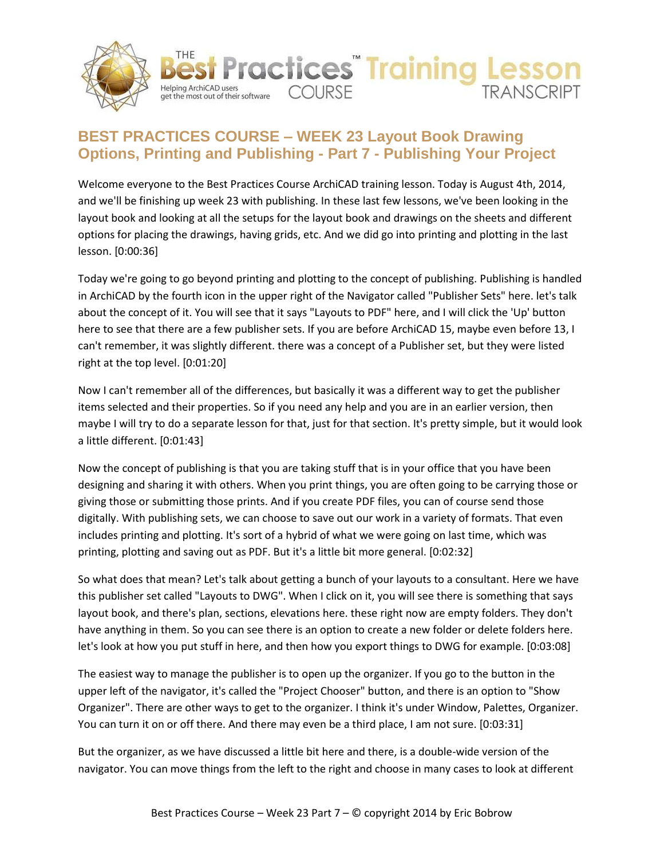



## **BEST PRACTICES COURSE – WEEK 23 Layout Book Drawing Options, Printing and Publishing - Part 7 - Publishing Your Project**

Welcome everyone to the Best Practices Course ArchiCAD training lesson. Today is August 4th, 2014, and we'll be finishing up week 23 with publishing. In these last few lessons, we've been looking in the layout book and looking at all the setups for the layout book and drawings on the sheets and different options for placing the drawings, having grids, etc. And we did go into printing and plotting in the last lesson. [0:00:36]

Today we're going to go beyond printing and plotting to the concept of publishing. Publishing is handled in ArchiCAD by the fourth icon in the upper right of the Navigator called "Publisher Sets" here. let's talk about the concept of it. You will see that it says "Layouts to PDF" here, and I will click the 'Up' button here to see that there are a few publisher sets. If you are before ArchiCAD 15, maybe even before 13, I can't remember, it was slightly different. there was a concept of a Publisher set, but they were listed right at the top level. [0:01:20]

Now I can't remember all of the differences, but basically it was a different way to get the publisher items selected and their properties. So if you need any help and you are in an earlier version, then maybe I will try to do a separate lesson for that, just for that section. It's pretty simple, but it would look a little different. [0:01:43]

Now the concept of publishing is that you are taking stuff that is in your office that you have been designing and sharing it with others. When you print things, you are often going to be carrying those or giving those or submitting those prints. And if you create PDF files, you can of course send those digitally. With publishing sets, we can choose to save out our work in a variety of formats. That even includes printing and plotting. It's sort of a hybrid of what we were going on last time, which was printing, plotting and saving out as PDF. But it's a little bit more general. [0:02:32]

So what does that mean? Let's talk about getting a bunch of your layouts to a consultant. Here we have this publisher set called "Layouts to DWG". When I click on it, you will see there is something that says layout book, and there's plan, sections, elevations here. these right now are empty folders. They don't have anything in them. So you can see there is an option to create a new folder or delete folders here. let's look at how you put stuff in here, and then how you export things to DWG for example. [0:03:08]

The easiest way to manage the publisher is to open up the organizer. If you go to the button in the upper left of the navigator, it's called the "Project Chooser" button, and there is an option to "Show Organizer". There are other ways to get to the organizer. I think it's under Window, Palettes, Organizer. You can turn it on or off there. And there may even be a third place, I am not sure. [0:03:31]

But the organizer, as we have discussed a little bit here and there, is a double-wide version of the navigator. You can move things from the left to the right and choose in many cases to look at different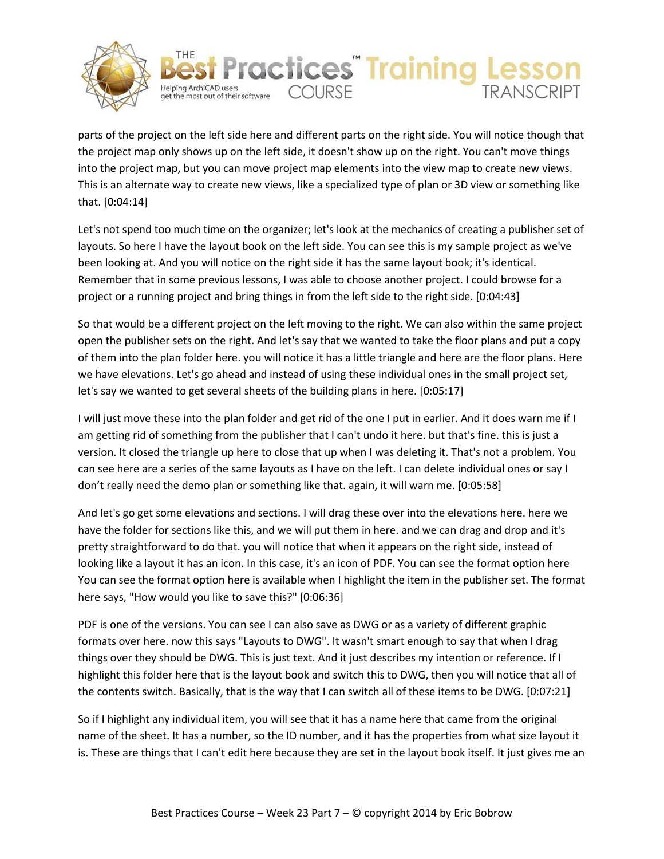



parts of the project on the left side here and different parts on the right side. You will notice though that the project map only shows up on the left side, it doesn't show up on the right. You can't move things into the project map, but you can move project map elements into the view map to create new views. This is an alternate way to create new views, like a specialized type of plan or 3D view or something like that. [0:04:14]

Let's not spend too much time on the organizer; let's look at the mechanics of creating a publisher set of layouts. So here I have the layout book on the left side. You can see this is my sample project as we've been looking at. And you will notice on the right side it has the same layout book; it's identical. Remember that in some previous lessons, I was able to choose another project. I could browse for a project or a running project and bring things in from the left side to the right side. [0:04:43]

So that would be a different project on the left moving to the right. We can also within the same project open the publisher sets on the right. And let's say that we wanted to take the floor plans and put a copy of them into the plan folder here. you will notice it has a little triangle and here are the floor plans. Here we have elevations. Let's go ahead and instead of using these individual ones in the small project set, let's say we wanted to get several sheets of the building plans in here. [0:05:17]

I will just move these into the plan folder and get rid of the one I put in earlier. And it does warn me if I am getting rid of something from the publisher that I can't undo it here. but that's fine. this is just a version. It closed the triangle up here to close that up when I was deleting it. That's not a problem. You can see here are a series of the same layouts as I have on the left. I can delete individual ones or say I don't really need the demo plan or something like that. again, it will warn me. [0:05:58]

And let's go get some elevations and sections. I will drag these over into the elevations here. here we have the folder for sections like this, and we will put them in here. and we can drag and drop and it's pretty straightforward to do that. you will notice that when it appears on the right side, instead of looking like a layout it has an icon. In this case, it's an icon of PDF. You can see the format option here You can see the format option here is available when I highlight the item in the publisher set. The format here says, "How would you like to save this?" [0:06:36]

PDF is one of the versions. You can see I can also save as DWG or as a variety of different graphic formats over here. now this says "Layouts to DWG". It wasn't smart enough to say that when I drag things over they should be DWG. This is just text. And it just describes my intention or reference. If I highlight this folder here that is the layout book and switch this to DWG, then you will notice that all of the contents switch. Basically, that is the way that I can switch all of these items to be DWG. [0:07:21]

So if I highlight any individual item, you will see that it has a name here that came from the original name of the sheet. It has a number, so the ID number, and it has the properties from what size layout it is. These are things that I can't edit here because they are set in the layout book itself. It just gives me an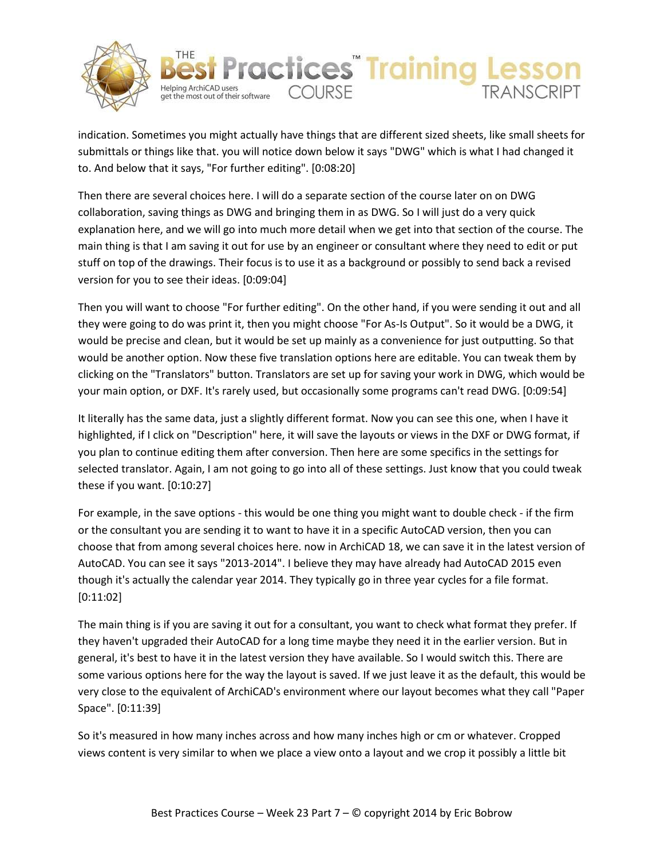



indication. Sometimes you might actually have things that are different sized sheets, like small sheets for submittals or things like that. you will notice down below it says "DWG" which is what I had changed it to. And below that it says, "For further editing". [0:08:20]

Then there are several choices here. I will do a separate section of the course later on on DWG collaboration, saving things as DWG and bringing them in as DWG. So I will just do a very quick explanation here, and we will go into much more detail when we get into that section of the course. The main thing is that I am saving it out for use by an engineer or consultant where they need to edit or put stuff on top of the drawings. Their focus is to use it as a background or possibly to send back a revised version for you to see their ideas. [0:09:04]

Then you will want to choose "For further editing". On the other hand, if you were sending it out and all they were going to do was print it, then you might choose "For As-Is Output". So it would be a DWG, it would be precise and clean, but it would be set up mainly as a convenience for just outputting. So that would be another option. Now these five translation options here are editable. You can tweak them by clicking on the "Translators" button. Translators are set up for saving your work in DWG, which would be your main option, or DXF. It's rarely used, but occasionally some programs can't read DWG. [0:09:54]

It literally has the same data, just a slightly different format. Now you can see this one, when I have it highlighted, if I click on "Description" here, it will save the layouts or views in the DXF or DWG format, if you plan to continue editing them after conversion. Then here are some specifics in the settings for selected translator. Again, I am not going to go into all of these settings. Just know that you could tweak these if you want. [0:10:27]

For example, in the save options - this would be one thing you might want to double check - if the firm or the consultant you are sending it to want to have it in a specific AutoCAD version, then you can choose that from among several choices here. now in ArchiCAD 18, we can save it in the latest version of AutoCAD. You can see it says "2013-2014". I believe they may have already had AutoCAD 2015 even though it's actually the calendar year 2014. They typically go in three year cycles for a file format. [0:11:02]

The main thing is if you are saving it out for a consultant, you want to check what format they prefer. If they haven't upgraded their AutoCAD for a long time maybe they need it in the earlier version. But in general, it's best to have it in the latest version they have available. So I would switch this. There are some various options here for the way the layout is saved. If we just leave it as the default, this would be very close to the equivalent of ArchiCAD's environment where our layout becomes what they call "Paper Space". [0:11:39]

So it's measured in how many inches across and how many inches high or cm or whatever. Cropped views content is very similar to when we place a view onto a layout and we crop it possibly a little bit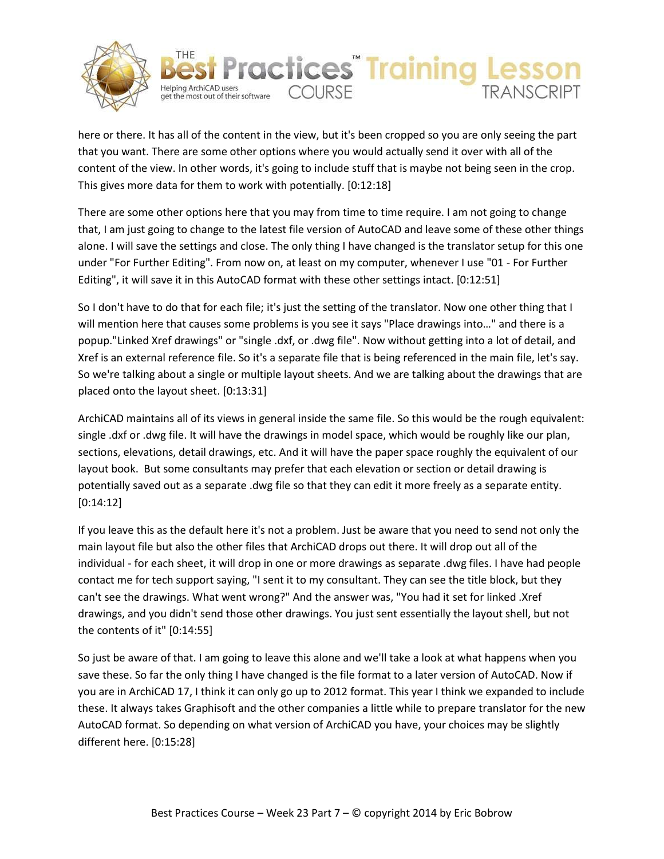



here or there. It has all of the content in the view, but it's been cropped so you are only seeing the part that you want. There are some other options where you would actually send it over with all of the content of the view. In other words, it's going to include stuff that is maybe not being seen in the crop. This gives more data for them to work with potentially. [0:12:18]

There are some other options here that you may from time to time require. I am not going to change that, I am just going to change to the latest file version of AutoCAD and leave some of these other things alone. I will save the settings and close. The only thing I have changed is the translator setup for this one under "For Further Editing". From now on, at least on my computer, whenever I use "01 - For Further Editing", it will save it in this AutoCAD format with these other settings intact. [0:12:51]

So I don't have to do that for each file; it's just the setting of the translator. Now one other thing that I will mention here that causes some problems is you see it says "Place drawings into…" and there is a popup."Linked Xref drawings" or "single .dxf, or .dwg file". Now without getting into a lot of detail, and Xref is an external reference file. So it's a separate file that is being referenced in the main file, let's say. So we're talking about a single or multiple layout sheets. And we are talking about the drawings that are placed onto the layout sheet. [0:13:31]

ArchiCAD maintains all of its views in general inside the same file. So this would be the rough equivalent: single .dxf or .dwg file. It will have the drawings in model space, which would be roughly like our plan, sections, elevations, detail drawings, etc. And it will have the paper space roughly the equivalent of our layout book. But some consultants may prefer that each elevation or section or detail drawing is potentially saved out as a separate .dwg file so that they can edit it more freely as a separate entity. [0:14:12]

If you leave this as the default here it's not a problem. Just be aware that you need to send not only the main layout file but also the other files that ArchiCAD drops out there. It will drop out all of the individual - for each sheet, it will drop in one or more drawings as separate .dwg files. I have had people contact me for tech support saying, "I sent it to my consultant. They can see the title block, but they can't see the drawings. What went wrong?" And the answer was, "You had it set for linked .Xref drawings, and you didn't send those other drawings. You just sent essentially the layout shell, but not the contents of it" [0:14:55]

So just be aware of that. I am going to leave this alone and we'll take a look at what happens when you save these. So far the only thing I have changed is the file format to a later version of AutoCAD. Now if you are in ArchiCAD 17, I think it can only go up to 2012 format. This year I think we expanded to include these. It always takes Graphisoft and the other companies a little while to prepare translator for the new AutoCAD format. So depending on what version of ArchiCAD you have, your choices may be slightly different here. [0:15:28]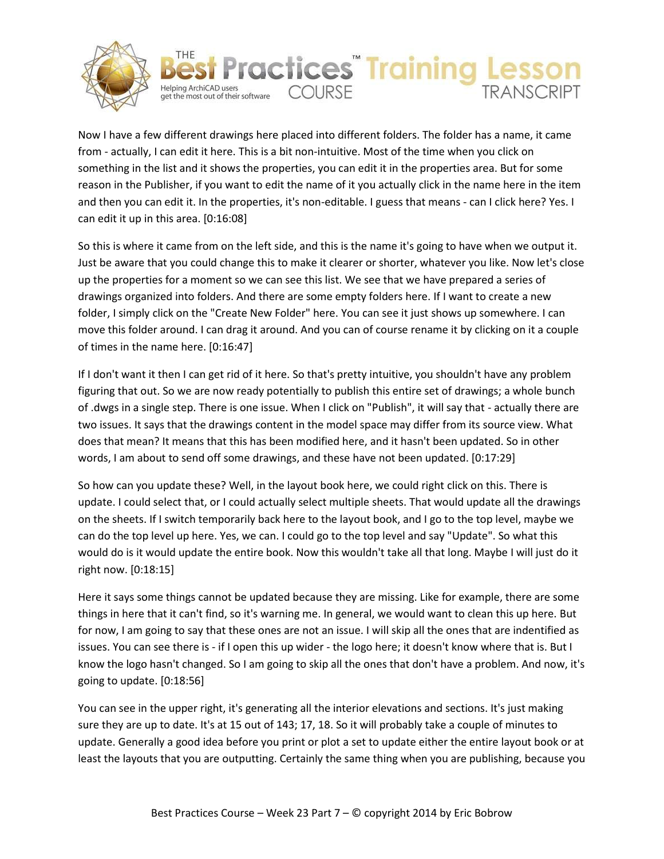



Now I have a few different drawings here placed into different folders. The folder has a name, it came from - actually, I can edit it here. This is a bit non-intuitive. Most of the time when you click on something in the list and it shows the properties, you can edit it in the properties area. But for some reason in the Publisher, if you want to edit the name of it you actually click in the name here in the item and then you can edit it. In the properties, it's non-editable. I guess that means - can I click here? Yes. I can edit it up in this area. [0:16:08]

So this is where it came from on the left side, and this is the name it's going to have when we output it. Just be aware that you could change this to make it clearer or shorter, whatever you like. Now let's close up the properties for a moment so we can see this list. We see that we have prepared a series of drawings organized into folders. And there are some empty folders here. If I want to create a new folder, I simply click on the "Create New Folder" here. You can see it just shows up somewhere. I can move this folder around. I can drag it around. And you can of course rename it by clicking on it a couple of times in the name here. [0:16:47]

If I don't want it then I can get rid of it here. So that's pretty intuitive, you shouldn't have any problem figuring that out. So we are now ready potentially to publish this entire set of drawings; a whole bunch of .dwgs in a single step. There is one issue. When I click on "Publish", it will say that - actually there are two issues. It says that the drawings content in the model space may differ from its source view. What does that mean? It means that this has been modified here, and it hasn't been updated. So in other words, I am about to send off some drawings, and these have not been updated. [0:17:29]

So how can you update these? Well, in the layout book here, we could right click on this. There is update. I could select that, or I could actually select multiple sheets. That would update all the drawings on the sheets. If I switch temporarily back here to the layout book, and I go to the top level, maybe we can do the top level up here. Yes, we can. I could go to the top level and say "Update". So what this would do is it would update the entire book. Now this wouldn't take all that long. Maybe I will just do it right now. [0:18:15]

Here it says some things cannot be updated because they are missing. Like for example, there are some things in here that it can't find, so it's warning me. In general, we would want to clean this up here. But for now, I am going to say that these ones are not an issue. I will skip all the ones that are indentified as issues. You can see there is - if I open this up wider - the logo here; it doesn't know where that is. But I know the logo hasn't changed. So I am going to skip all the ones that don't have a problem. And now, it's going to update. [0:18:56]

You can see in the upper right, it's generating all the interior elevations and sections. It's just making sure they are up to date. It's at 15 out of 143; 17, 18. So it will probably take a couple of minutes to update. Generally a good idea before you print or plot a set to update either the entire layout book or at least the layouts that you are outputting. Certainly the same thing when you are publishing, because you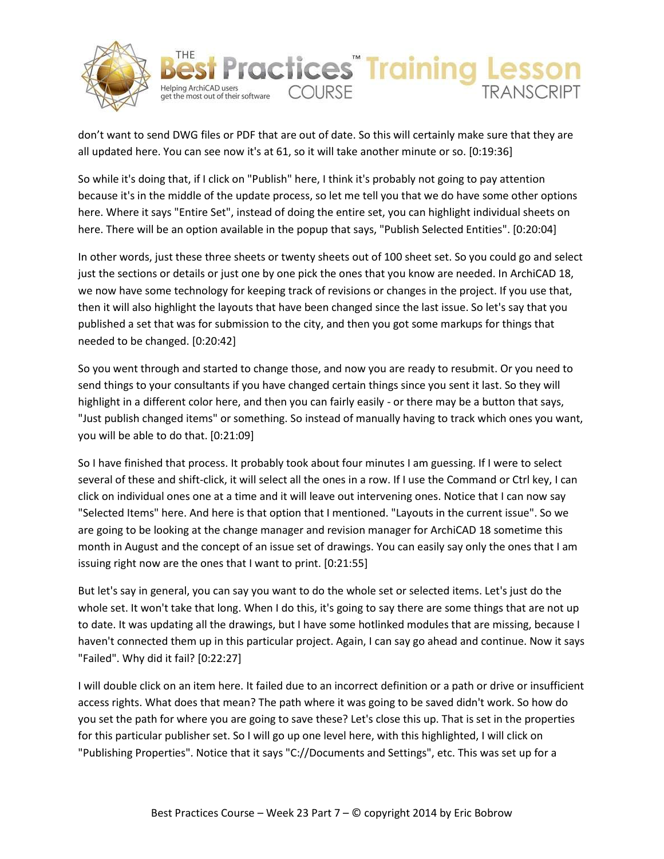



don't want to send DWG files or PDF that are out of date. So this will certainly make sure that they are all updated here. You can see now it's at 61, so it will take another minute or so. [0:19:36]

So while it's doing that, if I click on "Publish" here, I think it's probably not going to pay attention because it's in the middle of the update process, so let me tell you that we do have some other options here. Where it says "Entire Set", instead of doing the entire set, you can highlight individual sheets on here. There will be an option available in the popup that says, "Publish Selected Entities". [0:20:04]

In other words, just these three sheets or twenty sheets out of 100 sheet set. So you could go and select just the sections or details or just one by one pick the ones that you know are needed. In ArchiCAD 18, we now have some technology for keeping track of revisions or changes in the project. If you use that, then it will also highlight the layouts that have been changed since the last issue. So let's say that you published a set that was for submission to the city, and then you got some markups for things that needed to be changed. [0:20:42]

So you went through and started to change those, and now you are ready to resubmit. Or you need to send things to your consultants if you have changed certain things since you sent it last. So they will highlight in a different color here, and then you can fairly easily - or there may be a button that says, "Just publish changed items" or something. So instead of manually having to track which ones you want, you will be able to do that. [0:21:09]

So I have finished that process. It probably took about four minutes I am guessing. If I were to select several of these and shift-click, it will select all the ones in a row. If I use the Command or Ctrl key, I can click on individual ones one at a time and it will leave out intervening ones. Notice that I can now say "Selected Items" here. And here is that option that I mentioned. "Layouts in the current issue". So we are going to be looking at the change manager and revision manager for ArchiCAD 18 sometime this month in August and the concept of an issue set of drawings. You can easily say only the ones that I am issuing right now are the ones that I want to print. [0:21:55]

But let's say in general, you can say you want to do the whole set or selected items. Let's just do the whole set. It won't take that long. When I do this, it's going to say there are some things that are not up to date. It was updating all the drawings, but I have some hotlinked modules that are missing, because I haven't connected them up in this particular project. Again, I can say go ahead and continue. Now it says "Failed". Why did it fail? [0:22:27]

I will double click on an item here. It failed due to an incorrect definition or a path or drive or insufficient access rights. What does that mean? The path where it was going to be saved didn't work. So how do you set the path for where you are going to save these? Let's close this up. That is set in the properties for this particular publisher set. So I will go up one level here, with this highlighted, I will click on "Publishing Properties". Notice that it says "C://Documents and Settings", etc. This was set up for a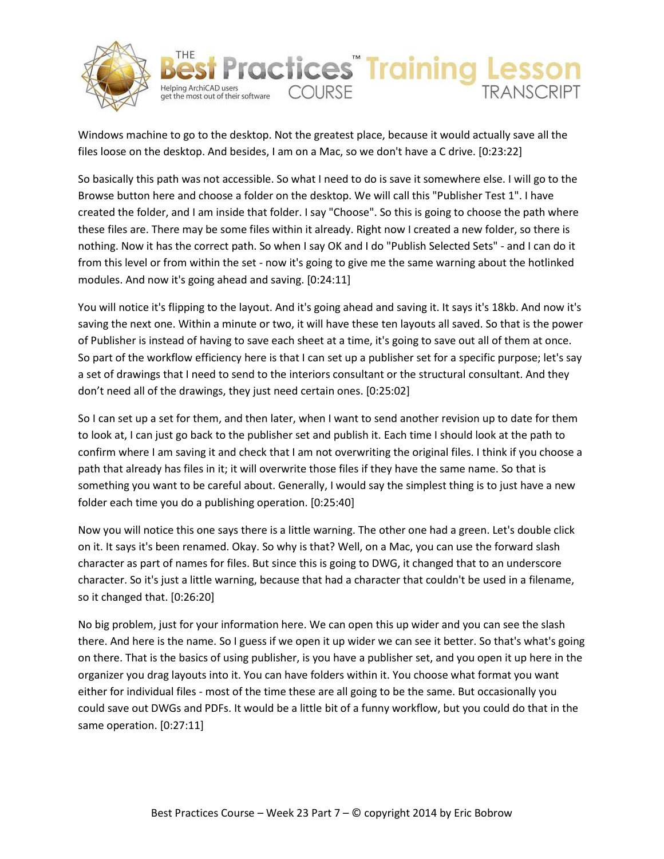



Windows machine to go to the desktop. Not the greatest place, because it would actually save all the files loose on the desktop. And besides, I am on a Mac, so we don't have a C drive. [0:23:22]

So basically this path was not accessible. So what I need to do is save it somewhere else. I will go to the Browse button here and choose a folder on the desktop. We will call this "Publisher Test 1". I have created the folder, and I am inside that folder. I say "Choose". So this is going to choose the path where these files are. There may be some files within it already. Right now I created a new folder, so there is nothing. Now it has the correct path. So when I say OK and I do "Publish Selected Sets" - and I can do it from this level or from within the set - now it's going to give me the same warning about the hotlinked modules. And now it's going ahead and saving. [0:24:11]

You will notice it's flipping to the layout. And it's going ahead and saving it. It says it's 18kb. And now it's saving the next one. Within a minute or two, it will have these ten layouts all saved. So that is the power of Publisher is instead of having to save each sheet at a time, it's going to save out all of them at once. So part of the workflow efficiency here is that I can set up a publisher set for a specific purpose; let's say a set of drawings that I need to send to the interiors consultant or the structural consultant. And they don't need all of the drawings, they just need certain ones. [0:25:02]

So I can set up a set for them, and then later, when I want to send another revision up to date for them to look at, I can just go back to the publisher set and publish it. Each time I should look at the path to confirm where I am saving it and check that I am not overwriting the original files. I think if you choose a path that already has files in it; it will overwrite those files if they have the same name. So that is something you want to be careful about. Generally, I would say the simplest thing is to just have a new folder each time you do a publishing operation. [0:25:40]

Now you will notice this one says there is a little warning. The other one had a green. Let's double click on it. It says it's been renamed. Okay. So why is that? Well, on a Mac, you can use the forward slash character as part of names for files. But since this is going to DWG, it changed that to an underscore character. So it's just a little warning, because that had a character that couldn't be used in a filename, so it changed that. [0:26:20]

No big problem, just for your information here. We can open this up wider and you can see the slash there. And here is the name. So I guess if we open it up wider we can see it better. So that's what's going on there. That is the basics of using publisher, is you have a publisher set, and you open it up here in the organizer you drag layouts into it. You can have folders within it. You choose what format you want either for individual files - most of the time these are all going to be the same. But occasionally you could save out DWGs and PDFs. It would be a little bit of a funny workflow, but you could do that in the same operation. [0:27:11]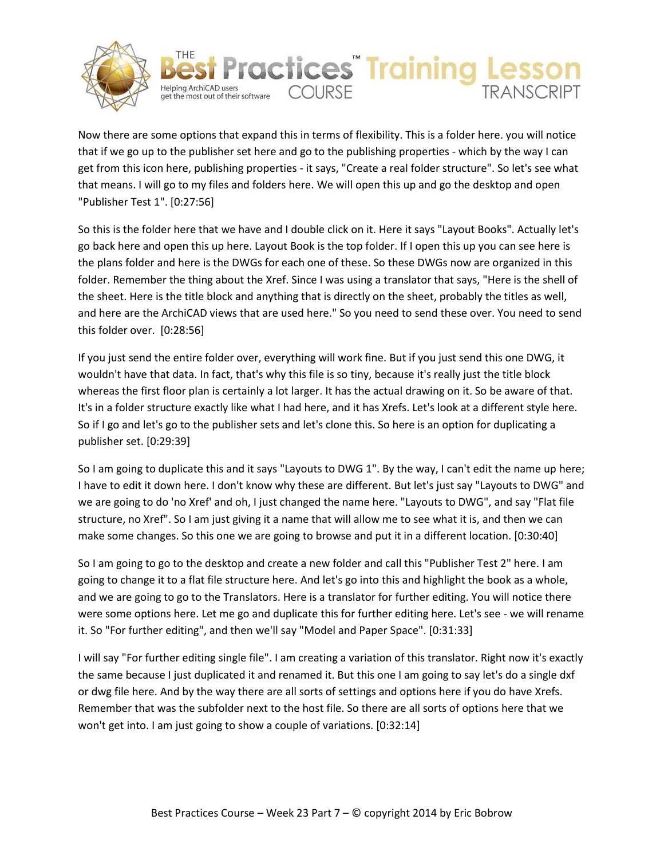



Now there are some options that expand this in terms of flexibility. This is a folder here. you will notice that if we go up to the publisher set here and go to the publishing properties - which by the way I can get from this icon here, publishing properties - it says, "Create a real folder structure". So let's see what that means. I will go to my files and folders here. We will open this up and go the desktop and open "Publisher Test 1". [0:27:56]

So this is the folder here that we have and I double click on it. Here it says "Layout Books". Actually let's go back here and open this up here. Layout Book is the top folder. If I open this up you can see here is the plans folder and here is the DWGs for each one of these. So these DWGs now are organized in this folder. Remember the thing about the Xref. Since I was using a translator that says, "Here is the shell of the sheet. Here is the title block and anything that is directly on the sheet, probably the titles as well, and here are the ArchiCAD views that are used here." So you need to send these over. You need to send this folder over. [0:28:56]

If you just send the entire folder over, everything will work fine. But if you just send this one DWG, it wouldn't have that data. In fact, that's why this file is so tiny, because it's really just the title block whereas the first floor plan is certainly a lot larger. It has the actual drawing on it. So be aware of that. It's in a folder structure exactly like what I had here, and it has Xrefs. Let's look at a different style here. So if I go and let's go to the publisher sets and let's clone this. So here is an option for duplicating a publisher set. [0:29:39]

So I am going to duplicate this and it says "Layouts to DWG 1". By the way, I can't edit the name up here; I have to edit it down here. I don't know why these are different. But let's just say "Layouts to DWG" and we are going to do 'no Xref' and oh, I just changed the name here. "Layouts to DWG", and say "Flat file structure, no Xref". So I am just giving it a name that will allow me to see what it is, and then we can make some changes. So this one we are going to browse and put it in a different location. [0:30:40]

So I am going to go to the desktop and create a new folder and call this "Publisher Test 2" here. I am going to change it to a flat file structure here. And let's go into this and highlight the book as a whole, and we are going to go to the Translators. Here is a translator for further editing. You will notice there were some options here. Let me go and duplicate this for further editing here. Let's see - we will rename it. So "For further editing", and then we'll say "Model and Paper Space". [0:31:33]

I will say "For further editing single file". I am creating a variation of this translator. Right now it's exactly the same because I just duplicated it and renamed it. But this one I am going to say let's do a single dxf or dwg file here. And by the way there are all sorts of settings and options here if you do have Xrefs. Remember that was the subfolder next to the host file. So there are all sorts of options here that we won't get into. I am just going to show a couple of variations. [0:32:14]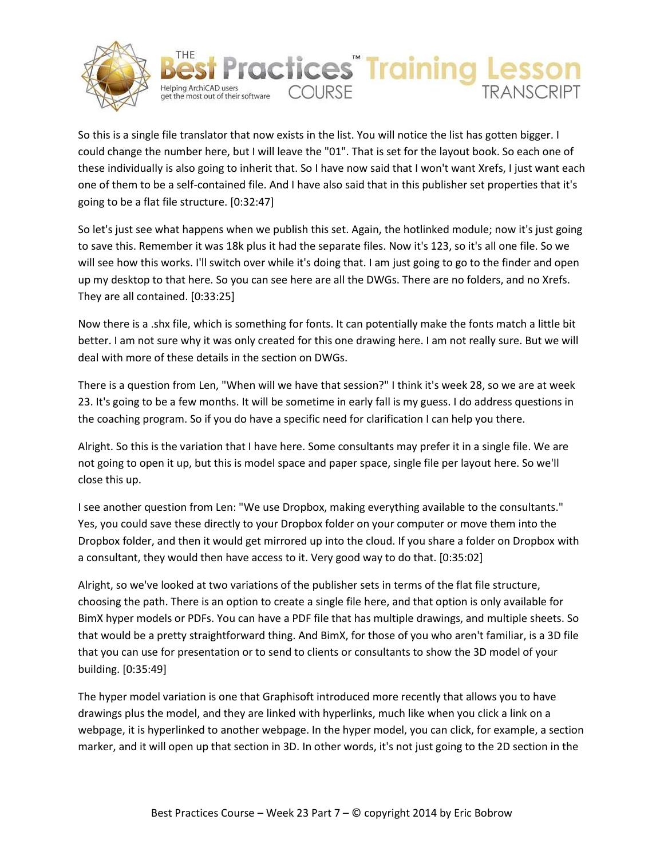



So this is a single file translator that now exists in the list. You will notice the list has gotten bigger. I could change the number here, but I will leave the "01". That is set for the layout book. So each one of these individually is also going to inherit that. So I have now said that I won't want Xrefs, I just want each one of them to be a self-contained file. And I have also said that in this publisher set properties that it's going to be a flat file structure. [0:32:47]

So let's just see what happens when we publish this set. Again, the hotlinked module; now it's just going to save this. Remember it was 18k plus it had the separate files. Now it's 123, so it's all one file. So we will see how this works. I'll switch over while it's doing that. I am just going to go to the finder and open up my desktop to that here. So you can see here are all the DWGs. There are no folders, and no Xrefs. They are all contained. [0:33:25]

Now there is a .shx file, which is something for fonts. It can potentially make the fonts match a little bit better. I am not sure why it was only created for this one drawing here. I am not really sure. But we will deal with more of these details in the section on DWGs.

There is a question from Len, "When will we have that session?" I think it's week 28, so we are at week 23. It's going to be a few months. It will be sometime in early fall is my guess. I do address questions in the coaching program. So if you do have a specific need for clarification I can help you there.

Alright. So this is the variation that I have here. Some consultants may prefer it in a single file. We are not going to open it up, but this is model space and paper space, single file per layout here. So we'll close this up.

I see another question from Len: "We use Dropbox, making everything available to the consultants." Yes, you could save these directly to your Dropbox folder on your computer or move them into the Dropbox folder, and then it would get mirrored up into the cloud. If you share a folder on Dropbox with a consultant, they would then have access to it. Very good way to do that. [0:35:02]

Alright, so we've looked at two variations of the publisher sets in terms of the flat file structure, choosing the path. There is an option to create a single file here, and that option is only available for BimX hyper models or PDFs. You can have a PDF file that has multiple drawings, and multiple sheets. So that would be a pretty straightforward thing. And BimX, for those of you who aren't familiar, is a 3D file that you can use for presentation or to send to clients or consultants to show the 3D model of your building. [0:35:49]

The hyper model variation is one that Graphisoft introduced more recently that allows you to have drawings plus the model, and they are linked with hyperlinks, much like when you click a link on a webpage, it is hyperlinked to another webpage. In the hyper model, you can click, for example, a section marker, and it will open up that section in 3D. In other words, it's not just going to the 2D section in the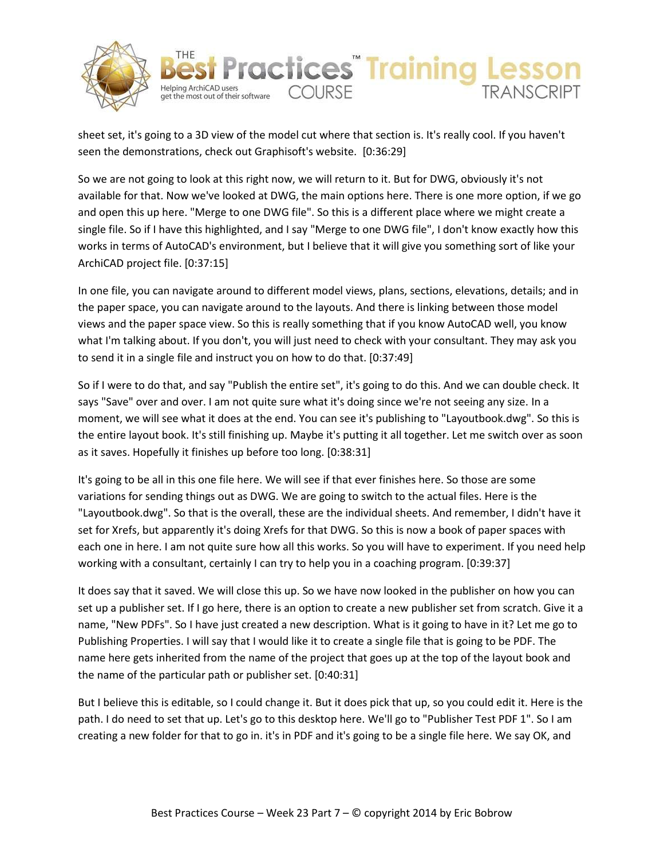



sheet set, it's going to a 3D view of the model cut where that section is. It's really cool. If you haven't seen the demonstrations, check out Graphisoft's website. [0:36:29]

So we are not going to look at this right now, we will return to it. But for DWG, obviously it's not available for that. Now we've looked at DWG, the main options here. There is one more option, if we go and open this up here. "Merge to one DWG file". So this is a different place where we might create a single file. So if I have this highlighted, and I say "Merge to one DWG file", I don't know exactly how this works in terms of AutoCAD's environment, but I believe that it will give you something sort of like your ArchiCAD project file. [0:37:15]

In one file, you can navigate around to different model views, plans, sections, elevations, details; and in the paper space, you can navigate around to the layouts. And there is linking between those model views and the paper space view. So this is really something that if you know AutoCAD well, you know what I'm talking about. If you don't, you will just need to check with your consultant. They may ask you to send it in a single file and instruct you on how to do that. [0:37:49]

So if I were to do that, and say "Publish the entire set", it's going to do this. And we can double check. It says "Save" over and over. I am not quite sure what it's doing since we're not seeing any size. In a moment, we will see what it does at the end. You can see it's publishing to "Layoutbook.dwg". So this is the entire layout book. It's still finishing up. Maybe it's putting it all together. Let me switch over as soon as it saves. Hopefully it finishes up before too long. [0:38:31]

It's going to be all in this one file here. We will see if that ever finishes here. So those are some variations for sending things out as DWG. We are going to switch to the actual files. Here is the "Layoutbook.dwg". So that is the overall, these are the individual sheets. And remember, I didn't have it set for Xrefs, but apparently it's doing Xrefs for that DWG. So this is now a book of paper spaces with each one in here. I am not quite sure how all this works. So you will have to experiment. If you need help working with a consultant, certainly I can try to help you in a coaching program. [0:39:37]

It does say that it saved. We will close this up. So we have now looked in the publisher on how you can set up a publisher set. If I go here, there is an option to create a new publisher set from scratch. Give it a name, "New PDFs". So I have just created a new description. What is it going to have in it? Let me go to Publishing Properties. I will say that I would like it to create a single file that is going to be PDF. The name here gets inherited from the name of the project that goes up at the top of the layout book and the name of the particular path or publisher set. [0:40:31]

But I believe this is editable, so I could change it. But it does pick that up, so you could edit it. Here is the path. I do need to set that up. Let's go to this desktop here. We'll go to "Publisher Test PDF 1". So I am creating a new folder for that to go in. it's in PDF and it's going to be a single file here. We say OK, and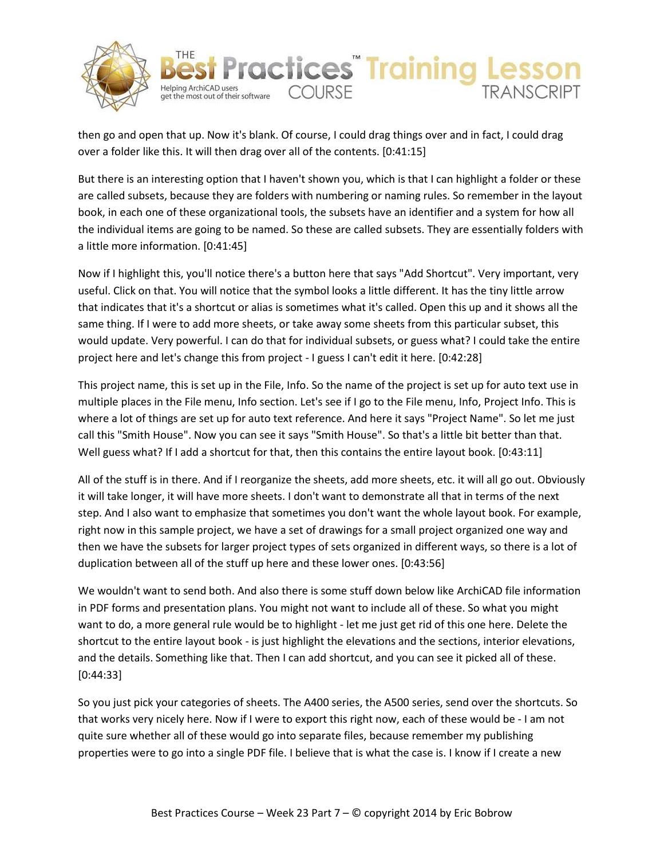



then go and open that up. Now it's blank. Of course, I could drag things over and in fact, I could drag over a folder like this. It will then drag over all of the contents. [0:41:15]

But there is an interesting option that I haven't shown you, which is that I can highlight a folder or these are called subsets, because they are folders with numbering or naming rules. So remember in the layout book, in each one of these organizational tools, the subsets have an identifier and a system for how all the individual items are going to be named. So these are called subsets. They are essentially folders with a little more information. [0:41:45]

Now if I highlight this, you'll notice there's a button here that says "Add Shortcut". Very important, very useful. Click on that. You will notice that the symbol looks a little different. It has the tiny little arrow that indicates that it's a shortcut or alias is sometimes what it's called. Open this up and it shows all the same thing. If I were to add more sheets, or take away some sheets from this particular subset, this would update. Very powerful. I can do that for individual subsets, or guess what? I could take the entire project here and let's change this from project - I guess I can't edit it here. [0:42:28]

This project name, this is set up in the File, Info. So the name of the project is set up for auto text use in multiple places in the File menu, Info section. Let's see if I go to the File menu, Info, Project Info. This is where a lot of things are set up for auto text reference. And here it says "Project Name". So let me just call this "Smith House". Now you can see it says "Smith House". So that's a little bit better than that. Well guess what? If I add a shortcut for that, then this contains the entire layout book. [0:43:11]

All of the stuff is in there. And if I reorganize the sheets, add more sheets, etc. it will all go out. Obviously it will take longer, it will have more sheets. I don't want to demonstrate all that in terms of the next step. And I also want to emphasize that sometimes you don't want the whole layout book. For example, right now in this sample project, we have a set of drawings for a small project organized one way and then we have the subsets for larger project types of sets organized in different ways, so there is a lot of duplication between all of the stuff up here and these lower ones. [0:43:56]

We wouldn't want to send both. And also there is some stuff down below like ArchiCAD file information in PDF forms and presentation plans. You might not want to include all of these. So what you might want to do, a more general rule would be to highlight - let me just get rid of this one here. Delete the shortcut to the entire layout book - is just highlight the elevations and the sections, interior elevations, and the details. Something like that. Then I can add shortcut, and you can see it picked all of these. [0:44:33]

So you just pick your categories of sheets. The A400 series, the A500 series, send over the shortcuts. So that works very nicely here. Now if I were to export this right now, each of these would be - I am not quite sure whether all of these would go into separate files, because remember my publishing properties were to go into a single PDF file. I believe that is what the case is. I know if I create a new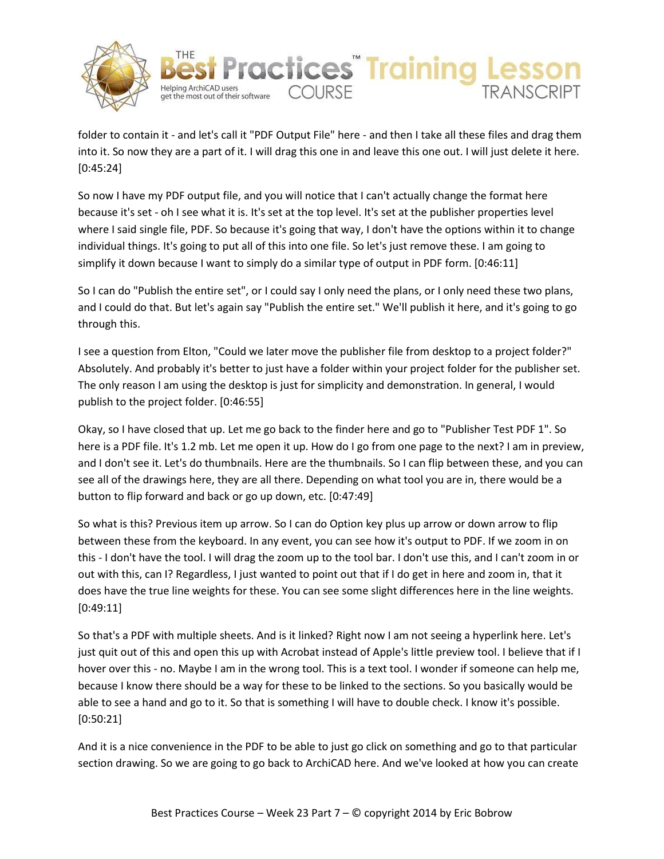



folder to contain it - and let's call it "PDF Output File" here - and then I take all these files and drag them into it. So now they are a part of it. I will drag this one in and leave this one out. I will just delete it here. [0:45:24]

So now I have my PDF output file, and you will notice that I can't actually change the format here because it's set - oh I see what it is. It's set at the top level. It's set at the publisher properties level where I said single file, PDF. So because it's going that way, I don't have the options within it to change individual things. It's going to put all of this into one file. So let's just remove these. I am going to simplify it down because I want to simply do a similar type of output in PDF form. [0:46:11]

So I can do "Publish the entire set", or I could say I only need the plans, or I only need these two plans, and I could do that. But let's again say "Publish the entire set." We'll publish it here, and it's going to go through this.

I see a question from Elton, "Could we later move the publisher file from desktop to a project folder?" Absolutely. And probably it's better to just have a folder within your project folder for the publisher set. The only reason I am using the desktop is just for simplicity and demonstration. In general, I would publish to the project folder. [0:46:55]

Okay, so I have closed that up. Let me go back to the finder here and go to "Publisher Test PDF 1". So here is a PDF file. It's 1.2 mb. Let me open it up. How do I go from one page to the next? I am in preview, and I don't see it. Let's do thumbnails. Here are the thumbnails. So I can flip between these, and you can see all of the drawings here, they are all there. Depending on what tool you are in, there would be a button to flip forward and back or go up down, etc. [0:47:49]

So what is this? Previous item up arrow. So I can do Option key plus up arrow or down arrow to flip between these from the keyboard. In any event, you can see how it's output to PDF. If we zoom in on this - I don't have the tool. I will drag the zoom up to the tool bar. I don't use this, and I can't zoom in or out with this, can I? Regardless, I just wanted to point out that if I do get in here and zoom in, that it does have the true line weights for these. You can see some slight differences here in the line weights. [0:49:11]

So that's a PDF with multiple sheets. And is it linked? Right now I am not seeing a hyperlink here. Let's just quit out of this and open this up with Acrobat instead of Apple's little preview tool. I believe that if I hover over this - no. Maybe I am in the wrong tool. This is a text tool. I wonder if someone can help me, because I know there should be a way for these to be linked to the sections. So you basically would be able to see a hand and go to it. So that is something I will have to double check. I know it's possible. [0:50:21]

And it is a nice convenience in the PDF to be able to just go click on something and go to that particular section drawing. So we are going to go back to ArchiCAD here. And we've looked at how you can create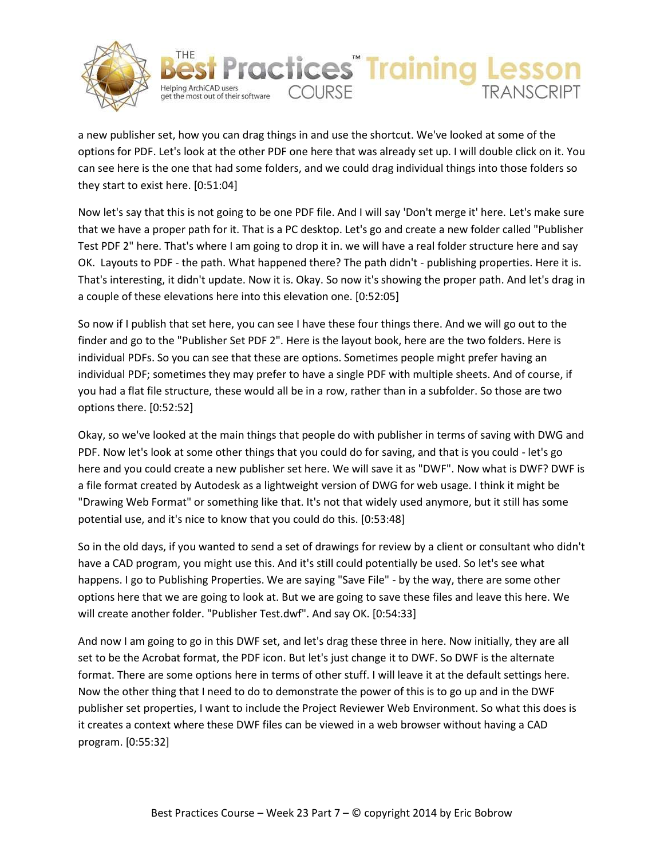

they start to exist here. [0:51:04]



Helping ArchiCAD users<br>get the most out of their software COURSE

Helping ArchiCAD users

**ractices** Training

Now let's say that this is not going to be one PDF file. And I will say 'Don't merge it' here. Let's make sure that we have a proper path for it. That is a PC desktop. Let's go and create a new folder called "Publisher Test PDF 2" here. That's where I am going to drop it in. we will have a real folder structure here and say OK. Layouts to PDF - the path. What happened there? The path didn't - publishing properties. Here it is. That's interesting, it didn't update. Now it is. Okay. So now it's showing the proper path. And let's drag in a couple of these elevations here into this elevation one. [0:52:05]

So now if I publish that set here, you can see I have these four things there. And we will go out to the finder and go to the "Publisher Set PDF 2". Here is the layout book, here are the two folders. Here is individual PDFs. So you can see that these are options. Sometimes people might prefer having an individual PDF; sometimes they may prefer to have a single PDF with multiple sheets. And of course, if you had a flat file structure, these would all be in a row, rather than in a subfolder. So those are two options there. [0:52:52]

Okay, so we've looked at the main things that people do with publisher in terms of saving with DWG and PDF. Now let's look at some other things that you could do for saving, and that is you could - let's go here and you could create a new publisher set here. We will save it as "DWF". Now what is DWF? DWF is a file format created by Autodesk as a lightweight version of DWG for web usage. I think it might be "Drawing Web Format" or something like that. It's not that widely used anymore, but it still has some potential use, and it's nice to know that you could do this. [0:53:48]

So in the old days, if you wanted to send a set of drawings for review by a client or consultant who didn't have a CAD program, you might use this. And it's still could potentially be used. So let's see what happens. I go to Publishing Properties. We are saying "Save File" - by the way, there are some other options here that we are going to look at. But we are going to save these files and leave this here. We will create another folder. "Publisher Test.dwf". And say OK. [0:54:33]

And now I am going to go in this DWF set, and let's drag these three in here. Now initially, they are all set to be the Acrobat format, the PDF icon. But let's just change it to DWF. So DWF is the alternate format. There are some options here in terms of other stuff. I will leave it at the default settings here. Now the other thing that I need to do to demonstrate the power of this is to go up and in the DWF publisher set properties, I want to include the Project Reviewer Web Environment. So what this does is it creates a context where these DWF files can be viewed in a web browser without having a CAD program. [0:55:32]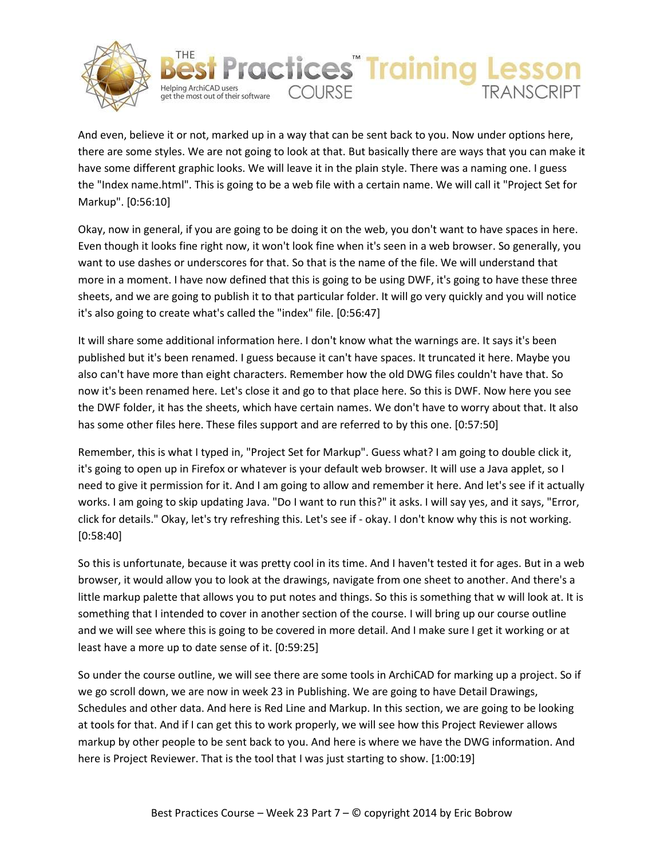



And even, believe it or not, marked up in a way that can be sent back to you. Now under options here, there are some styles. We are not going to look at that. But basically there are ways that you can make it have some different graphic looks. We will leave it in the plain style. There was a naming one. I guess the "Index name.html". This is going to be a web file with a certain name. We will call it "Project Set for Markup". [0:56:10]

Okay, now in general, if you are going to be doing it on the web, you don't want to have spaces in here. Even though it looks fine right now, it won't look fine when it's seen in a web browser. So generally, you want to use dashes or underscores for that. So that is the name of the file. We will understand that more in a moment. I have now defined that this is going to be using DWF, it's going to have these three sheets, and we are going to publish it to that particular folder. It will go very quickly and you will notice it's also going to create what's called the "index" file. [0:56:47]

It will share some additional information here. I don't know what the warnings are. It says it's been published but it's been renamed. I guess because it can't have spaces. It truncated it here. Maybe you also can't have more than eight characters. Remember how the old DWG files couldn't have that. So now it's been renamed here. Let's close it and go to that place here. So this is DWF. Now here you see the DWF folder, it has the sheets, which have certain names. We don't have to worry about that. It also has some other files here. These files support and are referred to by this one. [0:57:50]

Remember, this is what I typed in, "Project Set for Markup". Guess what? I am going to double click it, it's going to open up in Firefox or whatever is your default web browser. It will use a Java applet, so I need to give it permission for it. And I am going to allow and remember it here. And let's see if it actually works. I am going to skip updating Java. "Do I want to run this?" it asks. I will say yes, and it says, "Error, click for details." Okay, let's try refreshing this. Let's see if - okay. I don't know why this is not working. [0:58:40]

So this is unfortunate, because it was pretty cool in its time. And I haven't tested it for ages. But in a web browser, it would allow you to look at the drawings, navigate from one sheet to another. And there's a little markup palette that allows you to put notes and things. So this is something that w will look at. It is something that I intended to cover in another section of the course. I will bring up our course outline and we will see where this is going to be covered in more detail. And I make sure I get it working or at least have a more up to date sense of it. [0:59:25]

So under the course outline, we will see there are some tools in ArchiCAD for marking up a project. So if we go scroll down, we are now in week 23 in Publishing. We are going to have Detail Drawings, Schedules and other data. And here is Red Line and Markup. In this section, we are going to be looking at tools for that. And if I can get this to work properly, we will see how this Project Reviewer allows markup by other people to be sent back to you. And here is where we have the DWG information. And here is Project Reviewer. That is the tool that I was just starting to show. [1:00:19]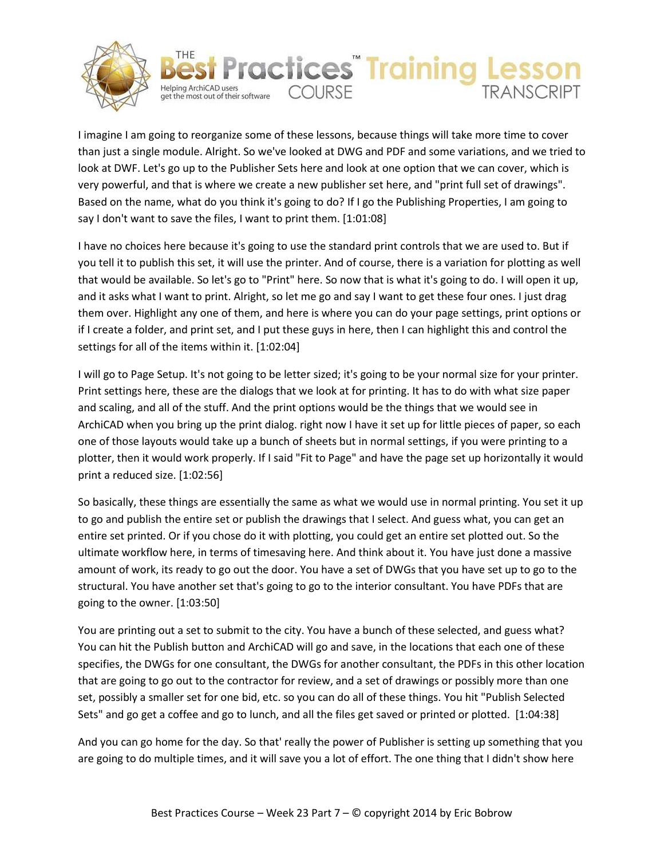



I imagine I am going to reorganize some of these lessons, because things will take more time to cover than just a single module. Alright. So we've looked at DWG and PDF and some variations, and we tried to look at DWF. Let's go up to the Publisher Sets here and look at one option that we can cover, which is very powerful, and that is where we create a new publisher set here, and "print full set of drawings". Based on the name, what do you think it's going to do? If I go the Publishing Properties, I am going to say I don't want to save the files, I want to print them. [1:01:08]

I have no choices here because it's going to use the standard print controls that we are used to. But if you tell it to publish this set, it will use the printer. And of course, there is a variation for plotting as well that would be available. So let's go to "Print" here. So now that is what it's going to do. I will open it up, and it asks what I want to print. Alright, so let me go and say I want to get these four ones. I just drag them over. Highlight any one of them, and here is where you can do your page settings, print options or if I create a folder, and print set, and I put these guys in here, then I can highlight this and control the settings for all of the items within it. [1:02:04]

I will go to Page Setup. It's not going to be letter sized; it's going to be your normal size for your printer. Print settings here, these are the dialogs that we look at for printing. It has to do with what size paper and scaling, and all of the stuff. And the print options would be the things that we would see in ArchiCAD when you bring up the print dialog. right now I have it set up for little pieces of paper, so each one of those layouts would take up a bunch of sheets but in normal settings, if you were printing to a plotter, then it would work properly. If I said "Fit to Page" and have the page set up horizontally it would print a reduced size. [1:02:56]

So basically, these things are essentially the same as what we would use in normal printing. You set it up to go and publish the entire set or publish the drawings that I select. And guess what, you can get an entire set printed. Or if you chose do it with plotting, you could get an entire set plotted out. So the ultimate workflow here, in terms of timesaving here. And think about it. You have just done a massive amount of work, its ready to go out the door. You have a set of DWGs that you have set up to go to the structural. You have another set that's going to go to the interior consultant. You have PDFs that are going to the owner. [1:03:50]

You are printing out a set to submit to the city. You have a bunch of these selected, and guess what? You can hit the Publish button and ArchiCAD will go and save, in the locations that each one of these specifies, the DWGs for one consultant, the DWGs for another consultant, the PDFs in this other location that are going to go out to the contractor for review, and a set of drawings or possibly more than one set, possibly a smaller set for one bid, etc. so you can do all of these things. You hit "Publish Selected Sets" and go get a coffee and go to lunch, and all the files get saved or printed or plotted. [1:04:38]

And you can go home for the day. So that' really the power of Publisher is setting up something that you are going to do multiple times, and it will save you a lot of effort. The one thing that I didn't show here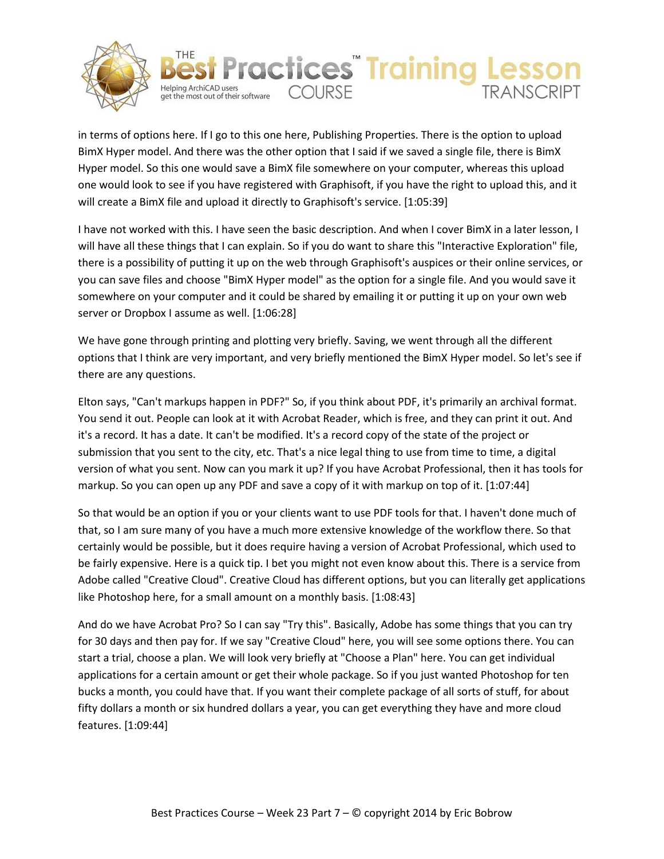



in terms of options here. If I go to this one here, Publishing Properties. There is the option to upload BimX Hyper model. And there was the other option that I said if we saved a single file, there is BimX Hyper model. So this one would save a BimX file somewhere on your computer, whereas this upload one would look to see if you have registered with Graphisoft, if you have the right to upload this, and it will create a BimX file and upload it directly to Graphisoft's service. [1:05:39]

I have not worked with this. I have seen the basic description. And when I cover BimX in a later lesson, I will have all these things that I can explain. So if you do want to share this "Interactive Exploration" file, there is a possibility of putting it up on the web through Graphisoft's auspices or their online services, or you can save files and choose "BimX Hyper model" as the option for a single file. And you would save it somewhere on your computer and it could be shared by emailing it or putting it up on your own web server or Dropbox I assume as well. [1:06:28]

We have gone through printing and plotting very briefly. Saving, we went through all the different options that I think are very important, and very briefly mentioned the BimX Hyper model. So let's see if there are any questions.

Elton says, "Can't markups happen in PDF?" So, if you think about PDF, it's primarily an archival format. You send it out. People can look at it with Acrobat Reader, which is free, and they can print it out. And it's a record. It has a date. It can't be modified. It's a record copy of the state of the project or submission that you sent to the city, etc. That's a nice legal thing to use from time to time, a digital version of what you sent. Now can you mark it up? If you have Acrobat Professional, then it has tools for markup. So you can open up any PDF and save a copy of it with markup on top of it. [1:07:44]

So that would be an option if you or your clients want to use PDF tools for that. I haven't done much of that, so I am sure many of you have a much more extensive knowledge of the workflow there. So that certainly would be possible, but it does require having a version of Acrobat Professional, which used to be fairly expensive. Here is a quick tip. I bet you might not even know about this. There is a service from Adobe called "Creative Cloud". Creative Cloud has different options, but you can literally get applications like Photoshop here, for a small amount on a monthly basis. [1:08:43]

And do we have Acrobat Pro? So I can say "Try this". Basically, Adobe has some things that you can try for 30 days and then pay for. If we say "Creative Cloud" here, you will see some options there. You can start a trial, choose a plan. We will look very briefly at "Choose a Plan" here. You can get individual applications for a certain amount or get their whole package. So if you just wanted Photoshop for ten bucks a month, you could have that. If you want their complete package of all sorts of stuff, for about fifty dollars a month or six hundred dollars a year, you can get everything they have and more cloud features. [1:09:44]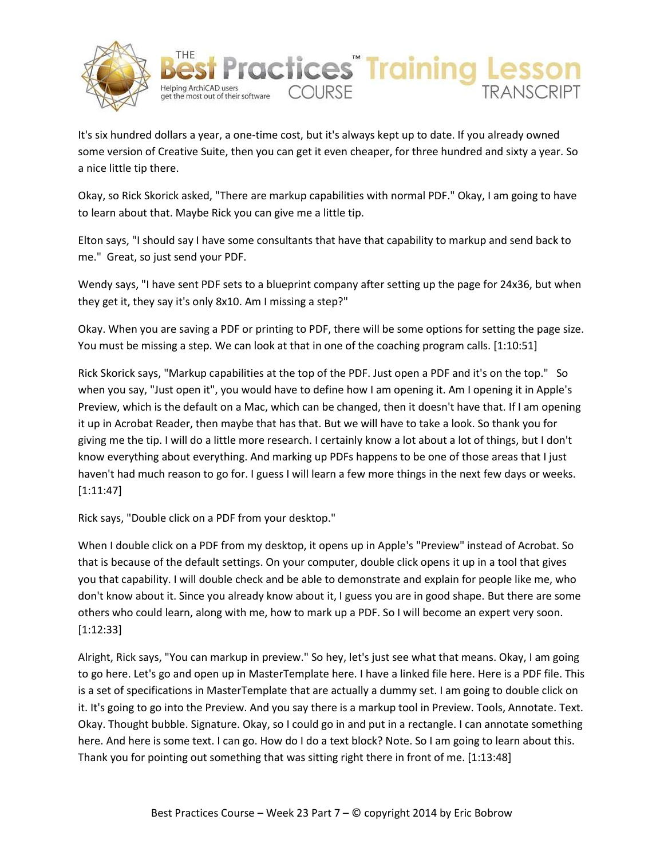



It's six hundred dollars a year, a one-time cost, but it's always kept up to date. If you already owned some version of Creative Suite, then you can get it even cheaper, for three hundred and sixty a year. So a nice little tip there.

Okay, so Rick Skorick asked, "There are markup capabilities with normal PDF." Okay, I am going to have to learn about that. Maybe Rick you can give me a little tip.

Elton says, "I should say I have some consultants that have that capability to markup and send back to me." Great, so just send your PDF.

Wendy says, "I have sent PDF sets to a blueprint company after setting up the page for 24x36, but when they get it, they say it's only 8x10. Am I missing a step?"

Okay. When you are saving a PDF or printing to PDF, there will be some options for setting the page size. You must be missing a step. We can look at that in one of the coaching program calls. [1:10:51]

Rick Skorick says, "Markup capabilities at the top of the PDF. Just open a PDF and it's on the top." So when you say, "Just open it", you would have to define how I am opening it. Am I opening it in Apple's Preview, which is the default on a Mac, which can be changed, then it doesn't have that. If I am opening it up in Acrobat Reader, then maybe that has that. But we will have to take a look. So thank you for giving me the tip. I will do a little more research. I certainly know a lot about a lot of things, but I don't know everything about everything. And marking up PDFs happens to be one of those areas that I just haven't had much reason to go for. I guess I will learn a few more things in the next few days or weeks. [1:11:47]

Rick says, "Double click on a PDF from your desktop."

When I double click on a PDF from my desktop, it opens up in Apple's "Preview" instead of Acrobat. So that is because of the default settings. On your computer, double click opens it up in a tool that gives you that capability. I will double check and be able to demonstrate and explain for people like me, who don't know about it. Since you already know about it, I guess you are in good shape. But there are some others who could learn, along with me, how to mark up a PDF. So I will become an expert very soon. [1:12:33]

Alright, Rick says, "You can markup in preview." So hey, let's just see what that means. Okay, I am going to go here. Let's go and open up in MasterTemplate here. I have a linked file here. Here is a PDF file. This is a set of specifications in MasterTemplate that are actually a dummy set. I am going to double click on it. It's going to go into the Preview. And you say there is a markup tool in Preview. Tools, Annotate. Text. Okay. Thought bubble. Signature. Okay, so I could go in and put in a rectangle. I can annotate something here. And here is some text. I can go. How do I do a text block? Note. So I am going to learn about this. Thank you for pointing out something that was sitting right there in front of me. [1:13:48]